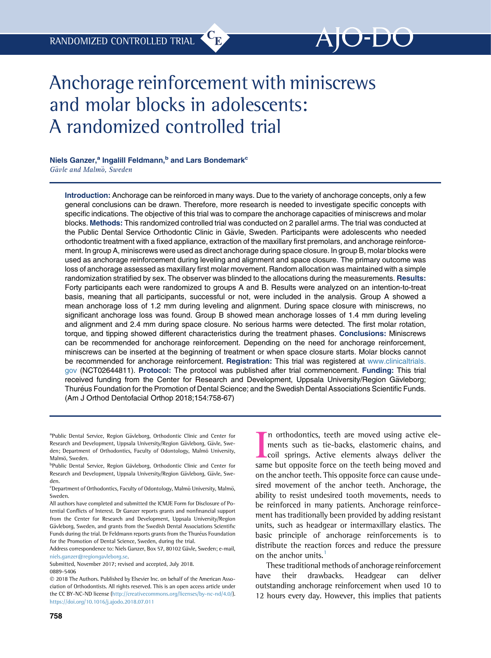# Anchorage reinforcement with miniscrews and molar blocks in adolescents: A randomized controlled trial

# Niels Ganzer,<sup>a</sup> Ingalill Feldmann,<sup>b</sup> and Lars Bondemark<sup>c</sup> Gävle and Malmö, Sweden

Introduction: Anchorage can be reinforced in many ways. Due to the variety of anchorage concepts, only a few general conclusions can be drawn. Therefore, more research is needed to investigate specific concepts with specific indications. The objective of this trial was to compare the anchorage capacities of miniscrews and molar blocks. Methods: This randomized controlled trial was conducted on 2 parallel arms. The trial was conducted at the Public Dental Service Orthodontic Clinic in Gävle, Sweden. Participants were adolescents who needed orthodontic treatment with a fixed appliance, extraction of the maxillary first premolars, and anchorage reinforcement. In group A, miniscrews were used as direct anchorage during space closure. In group B, molar blocks were used as anchorage reinforcement during leveling and alignment and space closure. The primary outcome was loss of anchorage assessed as maxillary first molar movement. Random allocation was maintained with a simple randomization stratified by sex. The observer was blinded to the allocations during the measurements. Results: Forty participants each were randomized to groups A and B. Results were analyzed on an intention-to-treat basis, meaning that all participants, successful or not, were included in the analysis. Group A showed a mean anchorage loss of 1.2 mm during leveling and alignment. During space closure with miniscrews, no significant anchorage loss was found. Group B showed mean anchorage losses of 1.4 mm during leveling and alignment and 2.4 mm during space closure. No serious harms were detected. The first molar rotation, torque, and tipping showed different characteristics during the treatment phases. Conclusions: Miniscrews can be recommended for anchorage reinforcement. Depending on the need for anchorage reinforcement, miniscrews can be inserted at the beginning of treatment or when space closure starts. Molar blocks cannot be recommended for anchorage reinforcement. Registration: This trial was registered at [www.clinicaltrials.](http://www.clinicaltrials.gov) [gov](http://www.clinicaltrials.gov) (NCT02644811). Protocol: The protocol was published after trial commencement. Funding: This trial received funding from the Center for Research and Development, Uppsala University/Region Gävleborg; Thuréus Foundation for the Promotion of Dental Science; and the Swedish Dental Associations Scientific Funds. (Am J Orthod Dentofacial Orthop 2018;154:758-67)

Address correspondence to: Niels Ganzer, Box 57, 80102 Gäyle, Sweden; e-mail, [niels.ganzer@regiongavleborg.se.](mailto:niels.ganzer@regiongavleborg.se)

In orthodontics, teeth are moved using active elements such as tie-backs, elastomeric chains, and coil springs. Active elements always deliver the same but opposite force on the teeth being moved and n orthodontics, teeth are moved using active elements such as tie-backs, elastomeric chains, and coil springs. Active elements always deliver the on the anchor teeth. This opposite force can cause undesired movement of the anchor teeth. Anchorage, the ability to resist undesired tooth movements, needs to be reinforced in many patients. Anchorage reinforcement has traditionally been provided by adding resistant units, such as headgear or intermaxillary elastics. The basic principle of anchorage reinforcements is to distribute the reaction forces and reduce the pressure on the anchor units.

These traditional methods of anchorage reinforcement have their drawbacks. Headgear can deliver outstanding anchorage reinforcement when used 10 to 12 hours every day. However, this implies that patients

<sup>&</sup>lt;sup>a</sup>Public Dental Service, Region Gävleborg, Orthodontic Clinic and Center for Research and Development, Uppsala University/Region Gävleborg, Gävle, Sweden; Department of Orthodontics, Faculty of Odontology, Malmö University, Malmö, Sweden.

<sup>&</sup>lt;sup>b</sup>Public Dental Service, Region Gävleborg, Orthodontic Clinic and Center for Research and Development, Uppsala University/Region Gävleborg, Gävle, Sweden.

Department of Orthodontics, Faculty of Odontology, Malmö University, Malmö, Sweden.

All authors have completed and submitted the ICMJE Form for Disclosure of Potential Conflicts of Interest. Dr Ganzer reports grants and nonfinancial support from the Center for Research and Development, Uppsala University/Region Gävleborg, Sweden, and grants from the Swedish Dental Associations Scientific Funds during the trial. Dr Feldmann reports grants from the Thuréus Foundation for the Promotion of Dental Science, Sweden, during the trial.

Submitted, November 2017; revised and accepted, July 2018. 0889-5406

2018 The Authors. Published by Elsevier Inc. on behalf of the American Association of Orthodontists. All rights reserved. This is an open access article under the CC BY-NC-ND license (<http://creativecommons.org/licenses/by-nc-nd/4.0/>). <https://doi.org/10.1016/j.ajodo.2018.07.011>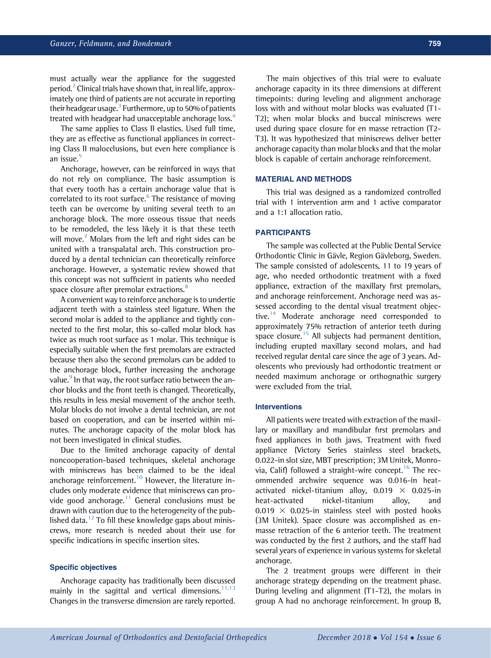must actually wear the appliance for the suggested period.<sup>2</sup> Clinical trials have shown that, in real life, approximately one third of patients are not accurate in reporting their headgear usage.<sup>[3](#page-8-0)</sup> Furthermore, up to 50% of patients treated with headgear had unacceptable anchorage loss.<sup>[4](#page-8-0)</sup>

The same applies to Class II elastics. Used full time, they are as effective as functional appliances in correcting Class II malocclusions, but even here compliance is an issue.<sup>[5](#page-8-0)</sup>

Anchorage, however, can be reinforced in ways that do not rely on compliance. The basic assumption is that every tooth has a certain anchorage value that is correlated to its root surface.<sup>[6](#page-8-0)</sup> The resistance of moving teeth can be overcome by uniting several teeth to an anchorage block. The more osseous tissue that needs to be remodeled, the less likely it is that these teeth will move.<sup>[7](#page-8-0)</sup> Molars from the left and right sides can be united with a transpalatal arch. This construction produced by a dental technician can theoretically reinforce anchorage. However, a systematic review showed that this concept was not sufficient in patients who needed space closure after premolar extractions.<sup>[8](#page-8-0)</sup>

A convenient way to reinforce anchorage is to undertie adjacent teeth with a stainless steel ligature. When the second molar is added to the appliance and tightly connected to the first molar, this so-called molar block has twice as much root surface as 1 molar. This technique is especially suitable when the first premolars are extracted because then also the second premolars can be added to the anchorage block, further increasing the anchorage value.<sup>9</sup> In that way, the root surface ratio between the anchor blocks and the front teeth is changed. Theoretically, this results in less mesial movement of the anchor teeth. Molar blocks do not involve a dental technician, are not based on cooperation, and can be inserted within minutes. The anchorage capacity of the molar block has not been investigated in clinical studies.

Due to the limited anchorage capacity of dental noncooperation-based techniques, skeletal anchorage with miniscrews has been claimed to be the ideal anchorage reinforcement.<sup>[10](#page-8-0)</sup> However, the literature includes only moderate evidence that miniscrews can provide good anchorage. $11$  General conclusions must be drawn with caution due to the heterogeneity of the pub-lished data.<sup>[12](#page-9-0)</sup> To fill these knowledge gaps about miniscrews, more research is needed about their use for specific indications in specific insertion sites.

#### Specific objectives

Anchorage capacity has traditionally been discussed mainly in the sagittal and vertical dimensions. $11,13$ Changes in the transverse dimension are rarely reported.

The main objectives of this trial were to evaluate anchorage capacity in its three dimensions at different timepoints: during leveling and alignment anchorage loss with and without molar blocks was evaluated (T1- T2); when molar blocks and buccal miniscrews were used during space closure for en masse retraction (T2- T3). It was hypothesized that miniscrews deliver better anchorage capacity than molar blocks and that the molar block is capable of certain anchorage reinforcement.

## MATERIAL AND METHODS

This trial was designed as a randomized controlled trial with 1 intervention arm and 1 active comparator and a 1:1 allocation ratio.

## PARTICIPANTS

The sample was collected at the Public Dental Service Orthodontic Clinic in Gävle, Region Gävleborg, Sweden. The sample consisted of adolescents, 11 to 19 years of age, who needed orthodontic treatment with a fixed appliance, extraction of the maxillary first premolars, and anchorage reinforcement. Anchorage need was assessed according to the dental visual treatment objec-tive.<sup>[14](#page-9-0)</sup> Moderate anchorage need corresponded to approximately 75% retraction of anterior teeth during space closure.<sup>[15](#page-9-0)</sup> All subjects had permanent dentition, including erupted maxillary second molars, and had received regular dental care since the age of 3 years. Adolescents who previously had orthodontic treatment or needed maximum anchorage or orthognathic surgery were excluded from the trial.

## Interventions

All patients were treated with extraction of the maxillary or maxillary and mandibular first premolars and fixed appliances in both jaws. Treatment with fixed appliance (Victory Series stainless steel brackets, 0.022-in slot size, MBT prescription; 3M Unitek, Monro-via, Calif) followed a straight-wire concept.<sup>[16](#page-9-0)</sup> The recommended archwire sequence was 0.016-in heatactivated nickel-titanium alloy,  $0.019 \times 0.025$ -in heat-activated nickel-titanium alloy, and 0.019  $\times$  0.025-in stainless steel with posted hooks (3M Unitek). Space closure was accomplished as enmasse retraction of the 6 anterior teeth. The treatment was conducted by the first 2 authors, and the staff had several years of experience in various systems for skeletal anchorage.

The 2 treatment groups were different in their anchorage strategy depending on the treatment phase. During leveling and alignment (T1-T2), the molars in group A had no anchorage reinforcement. In group B,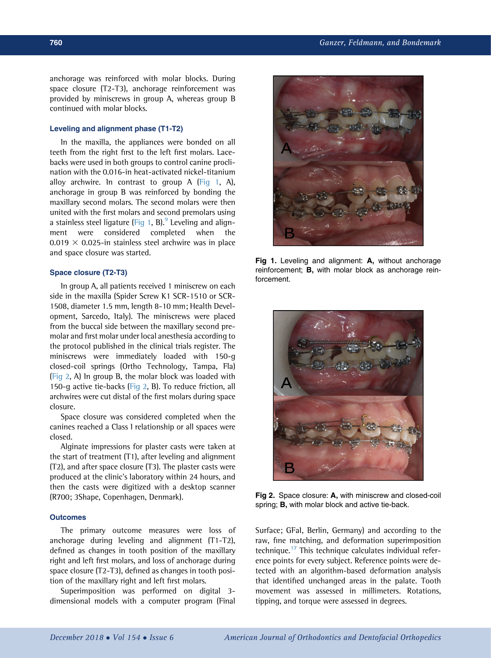anchorage was reinforced with molar blocks. During space closure (T2-T3), anchorage reinforcement was provided by miniscrews in group A, whereas group B continued with molar blocks.

## Leveling and alignment phase (T1-T2)

In the maxilla, the appliances were bonded on all teeth from the right first to the left first molars. Lacebacks were used in both groups to control canine proclination with the 0.016-in heat-activated nickel-titanium alloy archwire. In contrast to group A (Fig 1, A), anchorage in group B was reinforced by bonding the maxillary second molars. The second molars were then united with the first molars and second premolars using a stainless steel ligature (Fig 1, B). Leveling and alignment were considered completed when the 0.019  $\times$  0.025-in stainless steel archwire was in place and space closure was started.

#### Space closure (T2-T3)

In group A, all patients received 1 miniscrew on each side in the maxilla (Spider Screw K1 SCR-1510 or SCR-1508, diameter 1.5 mm, length 8-10 mm; Health Development, Sarcedo, Italy). The miniscrews were placed from the buccal side between the maxillary second premolar and first molar under local anesthesia according to the protocol published in the clinical trials register. The miniscrews were immediately loaded with 150-g closed-coil springs (Ortho Technology, Tampa, Fla) (Fig 2, A) In group B, the molar block was loaded with 150-g active tie-backs (Fig 2, B). To reduce friction, all archwires were cut distal of the first molars during space closure.

Space closure was considered completed when the canines reached a Class I relationship or all spaces were closed.

Alginate impressions for plaster casts were taken at the start of treatment (T1), after leveling and alignment (T2), and after space closure (T3). The plaster casts were produced at the clinic's laboratory within 24 hours, and then the casts were digitized with a desktop scanner (R700; 3Shape, Copenhagen, Denmark).

#### **Outcomes**

The primary outcome measures were loss of anchorage during leveling and alignment (T1-T2), defined as changes in tooth position of the maxillary right and left first molars, and loss of anchorage during space closure (T2-T3), defined as changes in tooth position of the maxillary right and left first molars.

Superimposition was performed on digital 3 dimensional models with a computer program (Final



Fig 1. Leveling and alignment: A, without anchorage reinforcement; B, with molar block as anchorage reinforcement.



Fig 2. Space closure: A, with miniscrew and closed-coil spring; B, with molar block and active tie-back.

Surface; GFaI, Berlin, Germany) and according to the raw, fine matching, and deformation superimposition technique.<sup>[17](#page-9-0)</sup> This technique calculates individual reference points for every subject. Reference points were detected with an algorithm-based deformation analysis that identified unchanged areas in the palate. Tooth movement was assessed in millimeters. Rotations, tipping, and torque were assessed in degrees.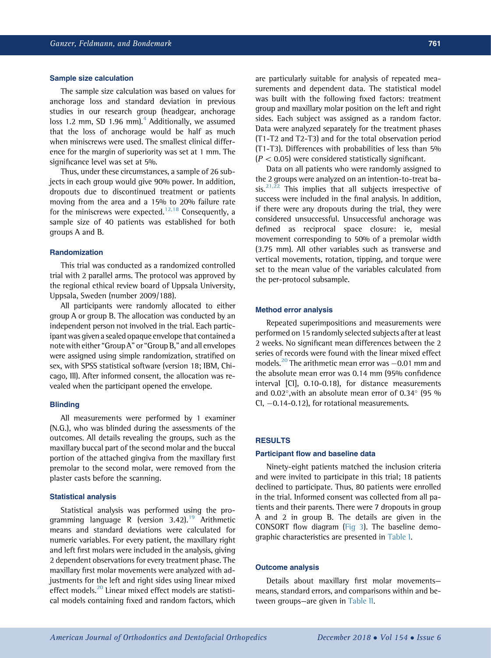#### Sample size calculation

The sample size calculation was based on values for anchorage loss and standard deviation in previous studies in our research group (headgear, anchorage loss 1.2 mm, SD 1.96 mm). $4$  Additionally, we assumed that the loss of anchorage would be half as much when miniscrews were used. The smallest clinical difference for the margin of superiority was set at 1 mm. The significance level was set at 5%.

Thus, under these circumstances, a sample of 26 subjects in each group would give 90% power. In addition, dropouts due to discontinued treatment or patients moving from the area and a 15% to 20% failure rate for the miniscrews were expected.<sup>[12,18](#page-9-0)</sup> Consequently, a sample size of 40 patients was established for both groups A and B.

## Randomization

This trial was conducted as a randomized controlled trial with 2 parallel arms. The protocol was approved by the regional ethical review board of Uppsala University, Uppsala, Sweden (number 2009/188).

All participants were randomly allocated to either group A or group B. The allocation was conducted by an independent person not involved in the trial. Each participant was given a sealed opaque envelope that contained a note with either "Group A" or "Group B," and all envelopes were assigned using simple randomization, stratified on sex, with SPSS statistical software (version 18; IBM, Chicago, Ill). After informed consent, the allocation was revealed when the participant opened the envelope.

## **Blinding**

All measurements were performed by 1 examiner (N.G.), who was blinded during the assessments of the outcomes. All details revealing the groups, such as the maxillary buccal part of the second molar and the buccal portion of the attached gingiva from the maxillary first premolar to the second molar, were removed from the plaster casts before the scanning.

#### Statistical analysis

Statistical analysis was performed using the programming language R (version  $3.42$ ).<sup>[19](#page-9-0)</sup> Arithmetic means and standard deviations were calculated for numeric variables. For every patient, the maxillary right and left first molars were included in the analysis, giving 2 dependent observations for every treatment phase. The maxillary first molar movements were analyzed with adjustments for the left and right sides using linear mixed effect models.<sup>[20](#page-9-0)</sup> Linear mixed effect models are statistical models containing fixed and random factors, which are particularly suitable for analysis of repeated measurements and dependent data. The statistical model was built with the following fixed factors: treatment group and maxillary molar position on the left and right sides. Each subject was assigned as a random factor. Data were analyzed separately for the treatment phases (T1-T2 and T2-T3) and for the total observation period (T1-T3). Differences with probabilities of less than 5%  $(P < 0.05)$  were considered statistically significant.

Data on all patients who were randomly assigned to the 2 groups were analyzed on an intention-to-treat ba- $sis.^{21,22}$  $sis.^{21,22}$  $sis.^{21,22}$  This implies that all subjects irrespective of success were included in the final analysis. In addition, if there were any dropouts during the trial, they were considered unsuccessful. Unsuccessful anchorage was defined as reciprocal space closure: ie, mesial movement corresponding to 50% of a premolar width (3.75 mm). All other variables such as transverse and vertical movements, rotation, tipping, and torque were set to the mean value of the variables calculated from the per-protocol subsample.

#### Method error analysis

Repeated superimpositions and measurements were performed on 15 randomly selected subjects after at least 2 weeks. No significant mean differences between the 2 series of records were found with the linear mixed effect models.<sup>[20](#page-9-0)</sup> The arithmetic mean error was  $-0.01$  mm and the absolute mean error was 0.14 mm (95% confidence interval [CI], 0.10-0.18), for distance measurements and  $0.02^{\circ}$ , with an absolute mean error of  $0.34^{\circ}$  (95 %)  $Cl, -0.14$ -0.12), for rotational measurements.

#### RESULTS

#### Participant flow and baseline data

Ninety-eight patients matched the inclusion criteria and were invited to participate in this trial; 18 patients declined to participate. Thus, 80 patients were enrolled in the trial. Informed consent was collected from all patients and their parents. There were 7 dropouts in group A and 2 in group B. The details are given in the CONSORT flow diagram [\(Fig 3](#page-4-0)). The baseline demographic characteristics are presented in [Table I](#page-5-0).

#### Outcome analysis

Details about maxillary first molar movements means, standard errors, and comparisons within and between groups—are given in [Table II.](#page-5-0)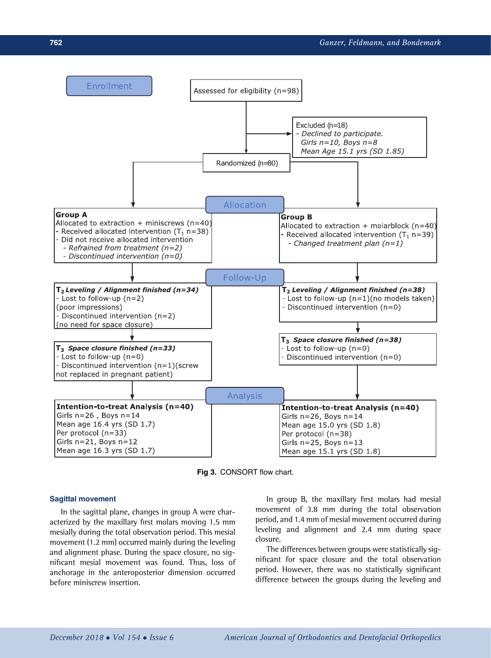

Fig 3. CONSORT flow chart.

## Sagittal movement

In the sagittal plane, changes in group A were characterized by the maxillary first molars moving 1.5 mm mesially during the total observation period. This mesial movement (1.2 mm) occurred mainly during the leveling and alignment phase. During the space closure, no significant mesial movement was found. Thus, loss of anchorage in the anteroposterior dimension occurred before miniscrew insertion.

In group B, the maxillary first molars had mesial movement of 3.8 mm during the total observation period, and 1.4 mm of mesial movement occurred during leveling and alignment and 2.4 mm during space closure.

The differences between groups were statistically significant for space closure and the total observation period. However, there was no statistically significant difference between the groups during the leveling and

<span id="page-4-0"></span>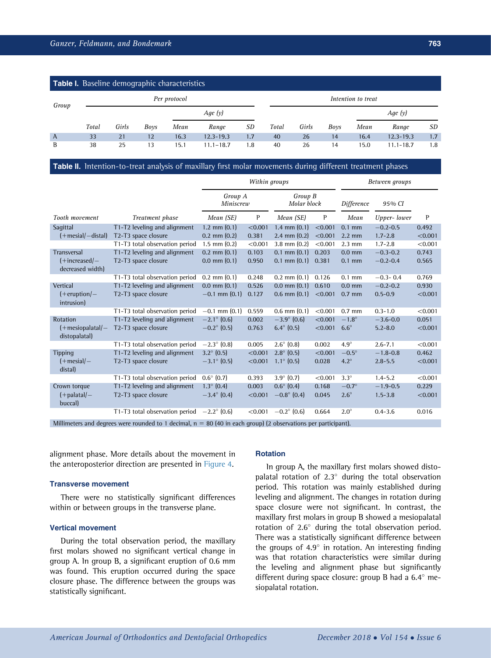<span id="page-5-0"></span>

| <b>Table I.</b> Baseline demographic characteristics |              |       |      |      |               |     |                    |       |      |      |               |     |
|------------------------------------------------------|--------------|-------|------|------|---------------|-----|--------------------|-------|------|------|---------------|-----|
| Group                                                | Per protocol |       |      |      |               |     | Intention to treat |       |      |      |               |     |
|                                                      |              |       |      |      | Age $(y)$     |     |                    |       |      |      | Age $(y)$     |     |
|                                                      | Total        | Girls | Boys | Mean | Range         | SD  | Total              | Girls | Boys | Mean | Range         | SD  |
| $\overline{A}$                                       | 33           | 21    | 12   | 16.3 | $12.3 - 19.3$ | 1.7 | 40                 | 26    | 14   | 16.4 | $12.3 - 19.3$ | 1.7 |
| B                                                    | 38           | 25    | 13   | 15.1 | $11.1 - 18.7$ | 1.8 | 40                 | 26    | 14   | 15.0 | $11.1 - 18.7$ | 1.8 |

## Table II. Intention-to-treat analysis of maxillary first molar movements during different treatment phases

|                                                                                                                       |                                | Within groups          |                        |                      |            | Between groups   |              |         |  |  |
|-----------------------------------------------------------------------------------------------------------------------|--------------------------------|------------------------|------------------------|----------------------|------------|------------------|--------------|---------|--|--|
|                                                                                                                       | Group A<br>Miniscrew           |                        | Group B<br>Molar block |                      | Difference | 95% CI           |              |         |  |  |
| Tooth movement                                                                                                        | Treatment phase                | Mean (SE)              | P                      | Mean (SE)            | P          | Mean             | Upper-lower  | P       |  |  |
| Sagittal                                                                                                              | T1-T2 leveling and alignment   | $1.2 \text{ mm} (0.1)$ | < 0.001                | 1.4 mm $(0.1)$       | < 0.001    | $0.1$ mm         | $-0.2 - 0.5$ | 0.492   |  |  |
| $(+$ mesial $/-$ distal)                                                                                              | T2-T3 space closure            | $0.2$ mm $(0.2)$       | 0.381                  | $2.4$ mm $(0.2)$     | < 0.001    | $2.2 \text{ mm}$ | $1.7 - 2.8$  | < 0.001 |  |  |
|                                                                                                                       | T1-T3 total observation period | $1.5$ mm $(0.2)$       | < 0.001                | $3.8$ mm $(0.2)$     | < 0.001    | $2.3$ mm         | $1.7 - 2.8$  | < 0.001 |  |  |
| Transversal                                                                                                           | T1-T2 leveling and alignment   | $0.2$ mm $(0.1)$       | 0.103                  | $0.1$ mm $(0.1)$     | 0.203      | $0.0$ mm         | $-0.3 - 0.2$ | 0.743   |  |  |
| $(+increased)$<br>decreased width)                                                                                    | T2-T3 space closure            | $0.0$ mm $(0.1)$       | 0.950                  | $0.1$ mm $(0.1)$     | 0.381      | $0.1$ mm         | $-0.2 - 0.4$ | 0.565   |  |  |
|                                                                                                                       | T1-T3 total observation period | $0.2$ mm $(0.1)$       | 0.248                  | $0.2$ mm $(0.1)$     | 0.126      | $0.1$ mm         | $-0.3 - 0.4$ | 0.769   |  |  |
| Vertical                                                                                                              | T1-T2 leveling and alignment   | $0.0$ mm $(0.1)$       | 0.526                  | $0.0$ mm $(0.1)$     | 0.610      | $0.0$ mm         | $-0.2 - 0.2$ | 0.930   |  |  |
| $($ +eruption $/$ -<br>intrusion)                                                                                     | T2-T3 space closure            | $-0.1$ mm $(0.1)$      | 0.127                  | $0.6$ mm $(0.1)$     | < 0.001    | $0.7$ mm         | $0.5 - 0.9$  | < 0.001 |  |  |
|                                                                                                                       | T1-T3 total observation period | $-0.1$ mm $(0.1)$      | 0.559                  | $0.6$ mm $(0.1)$     | < 0.001    | $0.7$ mm         | $0.3 - 1.0$  | < 0.001 |  |  |
| Rotation                                                                                                              | T1-T2 leveling and alignment   | $-2.1^{\circ}$ (0.6)   | 0.002                  | $-3.9^{\circ}$ (0.6) | < 0.001    | $-1.8^\circ$     | $-3.6 - 0.0$ | 0.051   |  |  |
| $(+$ mesiopalatal $/-$<br>distopalatal)                                                                               | T2-T3 space closure            | $-0.2^{\circ}$ (0.5)   | 0.763                  | $6.4^{\circ}$ (0.5)  | < 0.001    | $6.6^\circ$      | $5.2 - 8.0$  | < 0.001 |  |  |
|                                                                                                                       | T1-T3 total observation period | $-2.3^{\circ}$ (0.8)   | 0.005                  | $2.6^{\circ}$ (0.8)  | 0.002      | $4.9^\circ$      | $2.6 - 7.1$  | < 0.001 |  |  |
| <b>Tipping</b>                                                                                                        | T1-T2 leveling and alignment   | $3.2^{\circ}$ (0.5)    | < 0.001                | $2.8^{\circ}$ (0.5)  | < 0.001    | $-0.5^\circ$     | $-1.8 - 0.8$ | 0.462   |  |  |
| $(+$ mesial $/-$<br>distal)                                                                                           | T2-T3 space closure            | $-3.1^{\circ}$ (0.5)   | < 0.001                | $1.1^{\circ}$ (0.5)  | 0.028      | $4.2^\circ$      | $2.8 - 5.5$  | < 0.001 |  |  |
|                                                                                                                       | T1-T3 total observation period | $0.6^{\circ}$ (0.7)    | 0.393                  | $3.9^{\circ}$ (0.7)  | < 0.001    | $3.3^\circ$      | $1.4 - 5.2$  | < 0.001 |  |  |
| Crown torque                                                                                                          | T1-T2 leveling and alignment   | $1.3^{\circ}$ (0.4)    | 0.003                  | $0.6^{\circ}$ (0.4)  | 0.168      | $-0.7^\circ$     | $-1.9-0.5$   | 0.229   |  |  |
| $(+$ palatal $/-$<br>buccal)                                                                                          | T2-T3 space closure            | $-3.4^{\circ}$ (0.4)   | < 0.001                | $-0.8^{\circ}$ (0.4) | 0.045      | $2.6^\circ$      | $1.5 - 3.8$  | < 0.001 |  |  |
|                                                                                                                       | T1-T3 total observation period | $-2.2^{\circ}$ (0.6)   | < 0.001                | $-0.2^{\circ}$ (0.6) | 0.664      | $2.0^\circ$      | $0.4 - 3.6$  | 0.016   |  |  |
| $Millimotors$ and degrees were rounded to 1 decimal $r = 90(40 \text{ in each group})$ (2 absentions nor pertiainant) |                                |                        |                        |                      |            |                  |              |         |  |  |

Millimeters and degrees were rounded to 1 decimal,  $n = 80$  (40 in each group) (2 observations per participant).

alignment phase. More details about the movement in the anteroposterior direction are presented in [Figure 4](#page-6-0).

## Transverse movement

There were no statistically significant differences within or between groups in the transverse plane.

### Vertical movement

During the total observation period, the maxillary first molars showed no significant vertical change in group A. In group B, a significant eruption of 0.6 mm was found. This eruption occurred during the space closure phase. The difference between the groups was statistically significant.

#### Rotation

In group A, the maxillary first molars showed distopalatal rotation of  $2.3^\circ$  during the total observation period. This rotation was mainly established during leveling and alignment. The changes in rotation during space closure were not significant. In contrast, the maxillary first molars in group B showed a mesiopalatal rotation of 2.6° during the total observation period. There was a statistically significant difference between the groups of  $4.9^{\circ}$  in rotation. An interesting finding was that rotation characteristics were similar during the leveling and alignment phase but significantly different during space closure: group B had a  $6.4^\circ$  mesiopalatal rotation.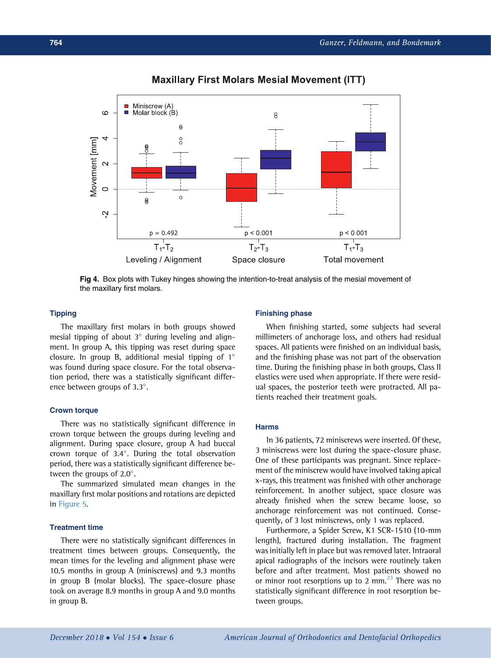<span id="page-6-0"></span>



# Fig 4. Box plots with Tukey hinges showing the intention-to-treat analysis of the mesial movement of the maxillary first molars.

## **Tipping**

The maxillary first molars in both groups showed mesial tipping of about  $3^\circ$  during leveling and alignment. In group A, this tipping was reset during space closure. In group B, additional mesial tipping of  $1^\circ$ was found during space closure. For the total observation period, there was a statistically significant difference between groups of 3.3°.

## Crown torque

There was no statistically significant difference in crown torque between the groups during leveling and alignment. During space closure, group A had buccal crown torque of  $3.4^\circ$ . During the total observation period, there was a statistically significant difference between the groups of  $2.0^\circ$ .

The summarized simulated mean changes in the maxillary first molar positions and rotations are depicted in [Figure 5](#page-7-0).

## Treatment time

There were no statistically significant differences in treatment times between groups. Consequently, the mean times for the leveling and alignment phase were 10.5 months in group A (miniscrews) and 9.3 months in group B (molar blocks). The space-closure phase took on average 8.9 months in group A and 9.0 months in group B.

## Finishing phase

When finishing started, some subjects had several millimeters of anchorage loss, and others had residual spaces. All patients were finished on an individual basis, and the finishing phase was not part of the observation time. During the finishing phase in both groups, Class II elastics were used when appropriate. If there were residual spaces, the posterior teeth were protracted. All patients reached their treatment goals.

# Harms

In 36 patients, 72 miniscrews were inserted. Of these, 3 miniscrews were lost during the space-closure phase. One of these participants was pregnant. Since replacement of the miniscrew would have involved taking apical x-rays, this treatment was finished with other anchorage reinforcement. In another subject, space closure was already finished when the screw became loose, so anchorage reinforcement was not continued. Consequently, of 3 lost miniscrews, only 1 was replaced.

Furthermore, a Spider Screw, K1 SCR-1510 (10-mm length), fractured during installation. The fragment was initially left in place but was removed later. Intraoral apical radiographs of the incisors were routinely taken before and after treatment. Most patients showed no or minor root resorptions up to 2 mm. $^{23}$  $^{23}$  $^{23}$  There was no statistically significant difference in root resorption between groups.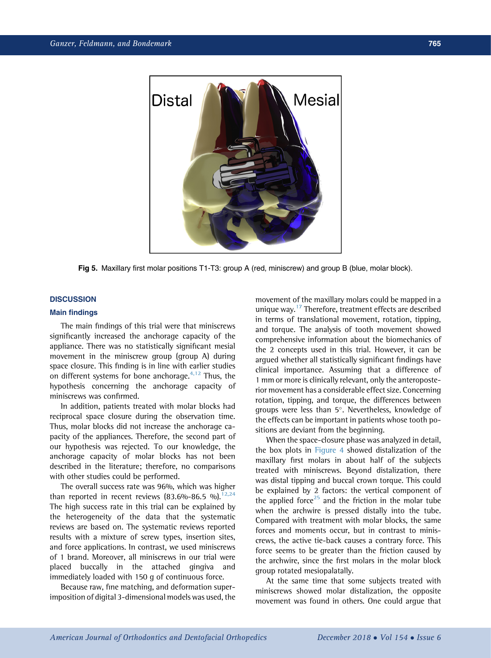<span id="page-7-0"></span>

Fig 5. Maxillary first molar positions T1-T3: group A (red, miniscrew) and group B (blue, molar block).

# **DISCUSSION**

## Main findings

The main findings of this trial were that miniscrews significantly increased the anchorage capacity of the appliance. There was no statistically significant mesial movement in the miniscrew group (group A) during space closure. This finding is in line with earlier studies on different systems for bone anchorage. $4,12$  Thus, the hypothesis concerning the anchorage capacity of miniscrews was confirmed.

In addition, patients treated with molar blocks had reciprocal space closure during the observation time. Thus, molar blocks did not increase the anchorage capacity of the appliances. Therefore, the second part of our hypothesis was rejected. To our knowledge, the anchorage capacity of molar blocks has not been described in the literature; therefore, no comparisons with other studies could be performed.

The overall success rate was 96%, which was higher than reported in recent reviews  $(83.6\% - 86.5\%)$ .<sup>12,24</sup> The high success rate in this trial can be explained by the heterogeneity of the data that the systematic reviews are based on. The systematic reviews reported results with a mixture of screw types, insertion sites, and force applications. In contrast, we used miniscrews of 1 brand. Moreover, all miniscrews in our trial were placed buccally in the attached gingiva and immediately loaded with 150 g of continuous force.

Because raw, fine matching, and deformation superimposition of digital 3-dimensional models was used, the movement of the maxillary molars could be mapped in a unique way.<sup>[17](#page-9-0)</sup> Therefore, treatment effects are described in terms of translational movement, rotation, tipping, and torque. The analysis of tooth movement showed comprehensive information about the biomechanics of the 2 concepts used in this trial. However, it can be argued whether all statistically significant findings have clinical importance. Assuming that a difference of 1 mm or more is clinically relevant, only the anteroposterior movement has a considerable effect size. Concerning rotation, tipping, and torque, the differences between groups were less than  $5^\circ$ . Nevertheless, knowledge of the effects can be important in patients whose tooth positions are deviant from the beginning.

When the space-closure phase was analyzed in detail, the box plots in [Figure 4](#page-6-0) showed distalization of the maxillary first molars in about half of the subjects treated with miniscrews. Beyond distalization, there was distal tipping and buccal crown torque. This could be explained by 2 factors: the vertical component of the applied force<sup>[25](#page-9-0)</sup> and the friction in the molar tube when the archwire is pressed distally into the tube. Compared with treatment with molar blocks, the same forces and moments occur, but in contrast to miniscrews, the active tie-back causes a contrary force. This force seems to be greater than the friction caused by the archwire, since the first molars in the molar block group rotated mesiopalatally.

At the same time that some subjects treated with miniscrews showed molar distalization, the opposite movement was found in others. One could argue that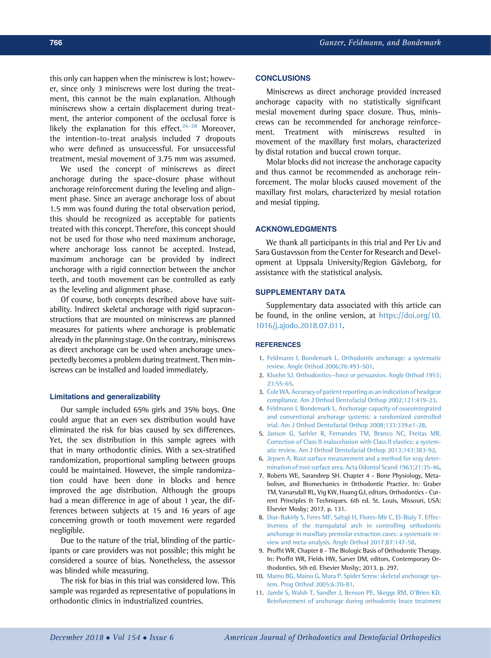<span id="page-8-0"></span>this only can happen when the miniscrew is lost; however, since only 3 miniscrews were lost during the treatment, this cannot be the main explanation. Although miniscrews show a certain displacement during treatment, the anterior component of the occlusal force is likely the explanation for this effect. $26-28$  Moreover, the intention-to-treat analysis included 7 dropouts who were defined as unsuccessful. For unsuccessful treatment, mesial movement of 3.75 mm was assumed.

We used the concept of miniscrews as direct anchorage during the space-closure phase without anchorage reinforcement during the leveling and alignment phase. Since an average anchorage loss of about 1.5 mm was found during the total observation period, this should be recognized as acceptable for patients treated with this concept. Therefore, this concept should not be used for those who need maximum anchorage, where anchorage loss cannot be accepted. Instead, maximum anchorage can be provided by indirect anchorage with a rigid connection between the anchor teeth, and tooth movement can be controlled as early as the leveling and alignment phase.

Of course, both concepts described above have suitability. Indirect skeletal anchorage with rigid supraconstructions that are mounted on miniscrews are planned measures for patients where anchorage is problematic already in the planning stage. On the contrary, miniscrews as direct anchorage can be used when anchorage unexpectedly becomes a problem during treatment. Then miniscrews can be installed and loaded immediately.

#### Limitations and generalizability

Our sample included 65% girls and 35% boys. One could argue that an even sex distribution would have eliminated the risk for bias caused by sex differences. Yet, the sex distribution in this sample agrees with that in many orthodontic clinics. With a sex-stratified randomization, proportional sampling between groups could be maintained. However, the simple randomization could have been done in blocks and hence improved the age distribution. Although the groups had a mean difference in age of about 1 year, the differences between subjects at 15 and 16 years of age concerning growth or tooth movement were regarded negligible.

Due to the nature of the trial, blinding of the participants or care providers was not possible; this might be considered a source of bias. Nonetheless, the assessor was blinded while measuring.

The risk for bias in this trial was considered low. This sample was regarded as representative of populations in orthodontic clinics in industrialized countries.

#### **CONCLUSIONS**

Miniscrews as direct anchorage provided increased anchorage capacity with no statistically significant mesial movement during space closure. Thus, miniscrews can be recommended for anchorage reinforcement. Treatment with miniscrews resulted in movement of the maxillary first molars, characterized by distal rotation and buccal crown torque.

Molar blocks did not increase the anchorage capacity and thus cannot be recommended as anchorage reinforcement. The molar blocks caused movement of the maxillary first molars, characterized by mesial rotation and mesial tipping.

#### ACKNOWLEDGMENTS

We thank all participants in this trial and Per Liv and Sara Gustavsson from the Center for Research and Development at Uppsala University/Region Gävleborg, for assistance with the statistical analysis.

# SUPPLEMENTARY DATA

Supplementary data associated with this article can be found, in the online version, at [https://doi.org/10.](https://doi.org/10.1016/j.ajodo.2018.07.011) [1016/j.ajodo.2018.07.011](https://doi.org/10.1016/j.ajodo.2018.07.011).

#### **REFERENCES**

- 1. [Feldmann I, Bondemark L. Orthodontic anchorage: a systematic](http://refhub.elsevier.com/S0889-5406(18)30688-7/sref1) [review. Angle Orthod 2006;76:493-501.](http://refhub.elsevier.com/S0889-5406(18)30688-7/sref1)
- 2. Kloehn SJ. Orthodontics—[force or persuasion. Angle Orthod 1953;](http://refhub.elsevier.com/S0889-5406(18)30688-7/sref2) [23:55-65](http://refhub.elsevier.com/S0889-5406(18)30688-7/sref2).
- 3. [Cole WA. Accuracy of patient reporting as an indication of headgear](http://refhub.elsevier.com/S0889-5406(18)30688-7/sref3) [compliance. Am J Orthod Dentofacial Orthop 2002;121:419-23](http://refhub.elsevier.com/S0889-5406(18)30688-7/sref3).
- 4. [Feldmann I, Bondemark L. Anchorage capacity of osseointegrated](http://refhub.elsevier.com/S0889-5406(18)30688-7/sref4) [and conventional anchorage systems: a randomized controlled](http://refhub.elsevier.com/S0889-5406(18)30688-7/sref4) [trial. Am J Orthod Dentofacial Orthop 2008;133:339.e1-28.](http://refhub.elsevier.com/S0889-5406(18)30688-7/sref4)
- 5. [Janson G, Sathler R, Fernandes TM, Branco NC, Freitas MR.](http://refhub.elsevier.com/S0889-5406(18)30688-7/sref5) [Correction of Class II malocclusion with Class II elastics: a system](http://refhub.elsevier.com/S0889-5406(18)30688-7/sref5)[atic review. Am J Orthod Dentofacial Orthop 2013;143:383-92](http://refhub.elsevier.com/S0889-5406(18)30688-7/sref5).
- 6. [Jepsen A. Root surface measurement and a method for xray deter](http://refhub.elsevier.com/S0889-5406(18)30688-7/sref6)[mination of root surface area. Acta Odontol Scand 1963;21:35-46.](http://refhub.elsevier.com/S0889-5406(18)30688-7/sref6)
- 7. Roberts WE, Sarandeep SH. Chapter 4 Bone Physiology, Metabolism, and Biomechanics in Orthodontic Practice. In: Graber TM, Vanarsdall RL, Vig KW, Huang GJ, editors. Orthodontics - Current Principles & Techniques. 6th ed. St. Louis, Missouri, USA: Elsevier Mosby; 2017. p. 131.
- 8. [Diar-Bakirly S, Feres MF, Saltaji H, Flores-Mir C, El-Bialy T. Effec](http://refhub.elsevier.com/S0889-5406(18)30688-7/sref8)[tiveness of the transpalatal arch in controlling orthodontic](http://refhub.elsevier.com/S0889-5406(18)30688-7/sref8) [anchorage in maxillary premolar extraction cases: a systematic re](http://refhub.elsevier.com/S0889-5406(18)30688-7/sref8)[view and meta-analysis. Angle Orthod 2017;87:147-58.](http://refhub.elsevier.com/S0889-5406(18)30688-7/sref8)
- 9. Proffit WR. Chapter 8 The Biologic Basis of Orthodontic Therapy. In: Proffit WR, Fields HW, Sarver DM, editors. Contemporary Orthodontics. 5th ed. Elsevier Mosby; 2013. p. 297.
- 10. [Maino BG, Maino G, Mura P. Spider Screw: skeletal anchorage sys](http://refhub.elsevier.com/S0889-5406(18)30688-7/sref10)[tem. Prog Orthod 2005;6:70-81](http://refhub.elsevier.com/S0889-5406(18)30688-7/sref10).
- 11. [Jambi S, Walsh T, Sandler J, Benson PE, Skeggs RM, O'Brien KD.](http://refhub.elsevier.com/S0889-5406(18)30688-7/sref11) [Reinforcement of anchorage during orthodontic brace treatment](http://refhub.elsevier.com/S0889-5406(18)30688-7/sref11)